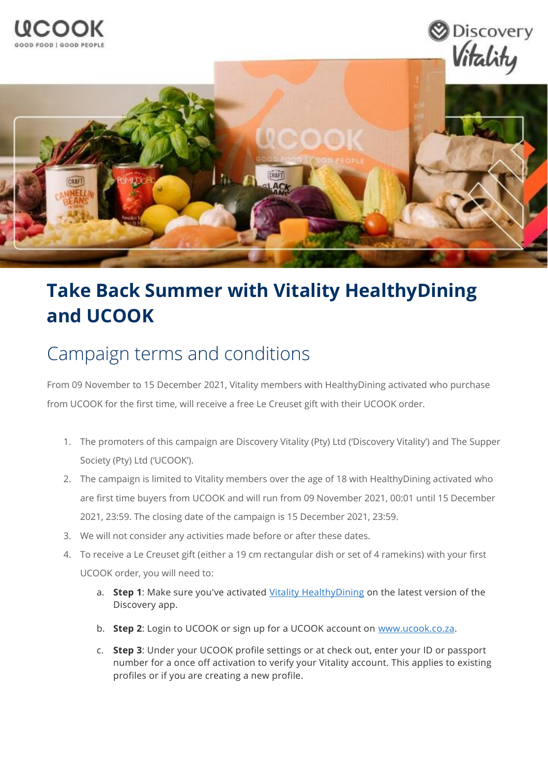

## **Take Back Summer with Vitality HealthyDining and UCOOK**

## Campaign terms and conditions

From 09 November to 15 December 2021, Vitality members with HealthyDining activated who purchase from UCOOK for the first time, will receive a free Le Creuset gift with their UCOOK order.

- 1. The promoters of this campaign are Discovery Vitality (Pty) Ltd ('Discovery Vitality') and The Supper Society (Pty) Ltd ('UCOOK').
- 2. The campaign is limited to Vitality members over the age of 18 with HealthyDining activated who are first time buyers from UCOOK and will run from 09 November 2021, 00:01 until 15 December 2021, 23:59. The closing date of the campaign is 15 December 2021, 23:59.
- 3. We will not consider any activities made before or after these dates.
- 4. To receive a Le Creuset gift (either a 19 cm rectangular dish or set of 4 ramekins) with your first UCOOK order, you will need to:
	- a. **Step 1**: Make sure you've activated [Vitality HealthyDining](https://www.discovery.co.za/vitality/healthydining) on the latest version of the Discovery app.
	- b. **Step 2**: Login to UCOOK or sign up for a UCOOK account on [www.ucook.co.za.](http://www.ucook.co.za/)
	- c. **Step 3**: Under your UCOOK profile settings or at check out, enter your ID or passport number for a once off activation to verify your Vitality account. This applies to existing profiles or if you are creating a new profile.